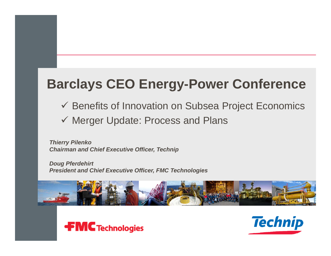# **Barclays CEO Energy-Power Conference**

- Benefits of Innovation on Subsea Project Economics
- Merger Update: Process and Plans

*Thierry Pilenko Chairman and Chief Executive Officer, Technip*

*Doug Pferdehirt President and Chief Executive Officer, FMC Technologies*





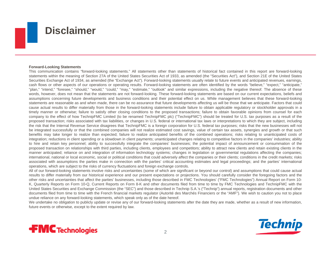

#### **Forward-Looking Statements**

This communication contains "forward-looking statements." All statements other than statements of historical fact contained in this report are forward-looking statements within the meaning of Section 27A of the United States Securities Act of 1933, as amended (the "Securities Act"), and Section 21E of the United States Securities Exchange Act of 1934, as amended (the "Exchange Act"). Forward-looking statements usually relate to future events and anticipated revenues, earnings, cash flows or other aspects of our operations or operating results. Forward-looking statements are often identified by the words "believe," "expect," "anticipate," "plan," "intend," "foresee," "should," "would," "could," "may," "estimate," "outlook" and similar expressions, including the negative thereof. The absence of these words, however, does not mean that the statements are not forward-looking. These forward-looking statements are based on our current expectations, beliefs and assumptions concerning future developments and business conditions and their potential effect on us. While management believes that these forward-looking statements are reasonable as and when made, there can be no assurance that future developments affecting us will be those that we anticipate. Factors that could cause actual results to differ materially from those in the forward-looking statements include failure to obtain applicable regulatory or stockholder approvals in <sup>a</sup> timely manner or otherwise; failure to satisfy other closing conditions to the proposed transactions; failure to obtain favorable opinions from counsel for each company to the effect of how TechnipFMC Limited (to be renamed TechnipFMC plc) ("TechnipFMC") should be treated for U.S. tax purposes as <sup>a</sup> result of the proposed transaction; risks associated with tax liabilities, or changes in U.S. federal or international tax laws or interpretations to which they are subject, including the risk that the Internal Revenue Service disagrees that TechnipFMC is <sup>a</sup> foreign corporation for U.S. federal tax purposes; risks that the new businesses will not be integrated successfully or that the combined companies will not realize estimated cost savings, value of certain tax assets, synergies and growth or that such benefits may take longer to realize than expected; failure to realize anticipated benefits of the combined operations; risks relating to unanticipated costs of integration; reductions in client spending or <sup>a</sup> slowdown in client payments; unanticipated changes relating to competitive factors in the companies' industries; ability to hire and retain key personnel; ability to successfully integrate the companies' businesses; the potential impact of announcement or consummation of the proposed transaction on relationships with third parties, including clients, employees and competitors; ability to attract new clients and retain existing clients in the manner anticipated; reliance on and integration of information technology systems; changes in legislation or governmental regulations affecting the companies; international, national or local economic, social or political conditions that could adversely affect the companies or their clients; conditions in the credit markets; risks associated with assumptions the parties make in connection with the parties' critical accounting estimates and legal proceedings; and the parties' international operations, which are subject to the risks of currency fluctuations and foreign exchange controls.

All of our forward-looking statements involve risks and uncertainties (some of which are significant or beyond our control) and assumptions that could cause actual results to differ materially from our historical experience and our present expectations or projections. You should carefully consider the foregoing factors and the other risks and uncertainties that affect the parties' businesses, including those described in FMC Technologies' ("FMC Technologies") Annual Report on Form 10- K, Quarterly Reports on Form 10-Q, Current Reports on Form 8-K and other documents filed from time to time by FMC Technologies and TechnipFMC with the United States Securities and Exchange Commission (the "SEC") and those described in Technip S.A.'s ("Technip") annual reports, registration documents and other documents filed from time to time with the French financial markets regulator (Autorité des Marchés Financiers or the "AMF"). We wish to caution you not to place undue reliance on any forward-looking statements, which speak only as of the date hereof.

We undertake no obligation to publicly update or revise any of our forward-looking statements after the date they are made, whether as a result of new information, future events or otherwise, except to the extent required by law.



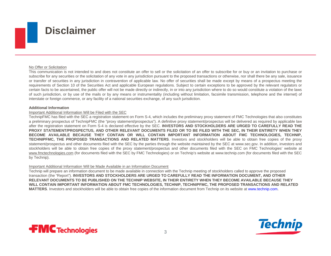

#### No Offer or Solicitation

This communication is not intended to and does not constitute an offer to sell or the solicitation of an offer to subscribe for or buy or an invitation to purchase or subscribe for any securities or the solicitation of any vote in any jurisdiction pursuant to the proposed transactions or otherwise, nor shall there be any sale, issuance or transfer of securities in any jurisdiction in contravention of applicable law. No offer of securities shall be made except by means of <sup>a</sup> prospectus meeting the requirements of Section 10 of the Securities Act and applicable European regulations. Subject to certain exceptions to be approved by the relevant regulators or certain facts to be ascertained, the public offer will not be made directly or indirectly, in or into any jurisdiction where to do so would constitute <sup>a</sup> violation of the laws of such jurisdiction, or by use of the mails or by any means or instrumentality (including without limitation, facsimile transmission, telephone and the internet) of interstate or foreign commerce, or any facility of <sup>a</sup> national securities exchange, of any such jurisdiction.

#### **Additional Information**

#### Important Additional Information Will be Filed with the SEC

TechnipFMC has filed with the SEC <sup>a</sup> registration statement on Form S-4, which includes the preliminary proxy statement of FMC Technologies that also constitutes <sup>a</sup> preliminary prospectus of TechnipFMC (the "proxy statement/prospectus"). A definitive proxy statement/prospectus will be delivered as required by applicable law after the registration statement on Form S-4 is declared effective by the SEC. INVESTORS AND STOCKHOLDERS ARE URGED TO CAREFULLY READ THE PROXY STATEMENT/PROSPECTUS, AND OTHER RELEVANT DOCUMENTS FILED OR TO BE FILED WITH THE SEC, IN THEIR ENTIRETY WHEN THEY BECOME AVAILABLE BECAUSE THEY CONTAIN OR WILL CONTAIN IMPORTANT INFORMATION ABOUT FMC TECHNOLOGIES, TECHNIP, **TECHNIPFMC, THE PROPOSED TRANSACTIONS AND RELATED MATTERS**. Investors and stockholders will be able to obtain free copies of the proxy statement/prospectus and other documents filed with the SEC by the parties through the website maintained by the SEC at www.sec.gov. In addition, investors and stockholders will be able to obtain free copies of the proxy statement/prospectus and other documents filed with the SEC on FMC Technologies' website at www.fmctechnologies.com (for documents filed with the SEC by FMC Technologies) or on Technip's website at www.technip.com (for documents filed with the SEC by Technip).

#### Important Additional Information Will be Made Available in an Information Document

Technip will prepare an information document to be made available in connection with the Technip meeting of stockholders called to approve the proposed transaction (the "Report"). **INVESTORS AND STOCKHOLDERS ARE URGED TO CAREFULLY READ THE INFORMATION DOCUMENT, AND OTHER RELEVANT DOCUMENTS TO BE PUBLISHED ON THE TECHNIP WEBSITE, IN THEIR ENTIRETY WHEN THEY BECOME AVAILABLE BECAUSE THEY**  WILL CONTAIN IMPORTANT INFORMATION ABOUT FMC TECHNOLOGIES, TECHNIP, TECHNIPFMC, THE PROPOSED TRANSACTIONS AND RELATED **MATTERS**. Investors and stockholders will be able to obtain free copies of the information document from Technip on its website at www.technip.com.



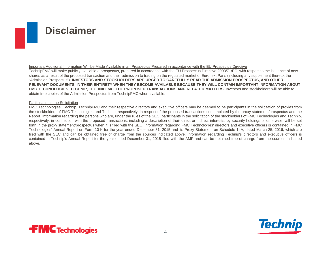

#### Important Additional Information Will be Made Available in an Prospectus Prepared in accordance with the EU Prospectus Directive

TechnipFMC will make publicly available a prospectus, prepared in accordance with the EU Prospectus Directive 2003/71/EC, with respect to the issuance of new shares as a result of the proposed transaction and their admission to trading on the regulated market of Euronext Paris (including any supplement thereto, the "Admission Prospectus"). **INVESTORS AND STOCKHOLDERS ARE URGED TO CAREFULLY READ THE ADMISSION PROSPECTUS, AND OTHER RELEVANT DOCUMENTS, IN THEIR ENTIRETY WHEN THEY BECOME AVAILABLE BECAUSE THEY WILL CONTAIN IMPORTANT INFORMATION ABOUT FMC TECHNOLOGIES, TECHNIP, TECHNIPFMC, THE PROPOSED TRANSACTIONS AND RELATED MATTERS**. Investors and stockholders will be able to obtain free copies of the Admission Prospectus from TechnipFMC when available.

#### Participants in the Solicitation

FMC Technologies, Technip, TechnipFMC and their respective directors and executive officers may be deemed to be participants in the solicitation of proxies from the stockholders of FMC Technologies and Technip, respectively, in respect of the proposed transactions contemplated by the proxy statement/prospectus and the Report. Information regarding the persons who are, under the rules of the SEC, participants in the solicitation of the stockholders of FMC Technologies and Technip, respectively, in connection with the proposed transactions, including <sup>a</sup> description of their direct or indirect interests, by security holdings or otherwise, will be set forth in the proxy statement/prospectus when it is filed with the SEC. Information regarding FMC Technologies' directors and executive officers is contained in FMC Technologies' Annual Report on Form 10-K for the year ended December 31, 2015 and its Proxy Statement on Schedule 14A, dated March 25, 2016, which are filed with the SEC and can be obtained free of charge from the sources indicated above. Information regarding Technip's directors and executive officers is contained in Technip's Annual Report for the year ended December 31, 2015 filed with the AMF and can be obtained free of charge from the sources indicated above.



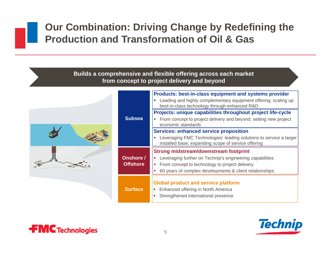## **Our Combination: Driving Change by Redefining the Production and Transformation of Oil & Gas**

#### **Builds a comprehensive and flexible offering across each market from concept to project delivery and beyond**



|                 | <b>Products: best-in-class equipment and systems provider</b>                                                             |
|-----------------|---------------------------------------------------------------------------------------------------------------------------|
|                 | Leading and highly complementary equipment offering; scaling up<br>best-in-class technology through enhanced R&D          |
|                 | Projects: unique capabilities throughout project life-cycle                                                               |
| <b>Subsea</b>   | From concept to project delivery and beyond; setting new project<br>economic standards                                    |
|                 | <b>Services: enhanced service proposition</b>                                                                             |
|                 | Leveraging FMC Technologies' leading solutions to service a larger<br>installed base; expanding scope of service offering |
|                 | <b>Strong midstream/downstream footprint</b>                                                                              |
| Onshore /       | Leveraging further on Technip's engineering capabilities                                                                  |
| <b>Offshore</b> | From concept to technology to project delivery<br>п                                                                       |
|                 | 60 years of complex developments & client relationships<br>п                                                              |
|                 | <b>Global product and service platform</b>                                                                                |
| <b>Surface</b>  | Enhanced offering in North America<br>П                                                                                   |
|                 | Strengthened international presence<br>ш                                                                                  |
|                 |                                                                                                                           |



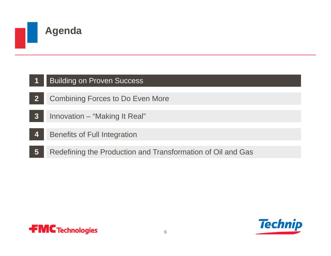

#### **1**Building on Proven Success

- **2**Combining Forces to Do Even More
- **3**Innovation – "Making It Real"
- **4**Benefits of Full Integration
- **5**Redefining the Production and Transformation of Oil and Gas



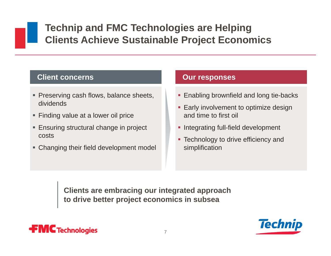## **Technip and FMC Technologies are Helping Clients Achieve Sustainable Project Economics**

### **Client concerns**

- **Preserving cash flows, balance sheets,** dividends
- Finding value at a lower oil price
- **Ensuring structural change in project** costs
- Changing their field development model

#### **Our responses**

- **Enabling brownfield and long tie-backs**
- **Early involvement to optimize design** and time to first oil
- **Integrating full-field development**
- Technology to drive efficiency and simplification

**Clients are embracing our integrated approach to drive better project economics in subsea**



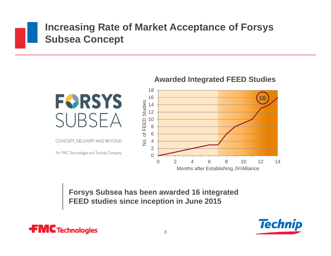## **Increasing Rate of Market Acceptance of Forsys Subsea Concept**



CONCEPT, DELIVERY AND BEYOND

An FMC Technologies and Technip Company

#### **Awarded Integrated FEED Studies**



**Forsys Subsea has been awarded 16 integrated FEED studies since inception in June 2015** 



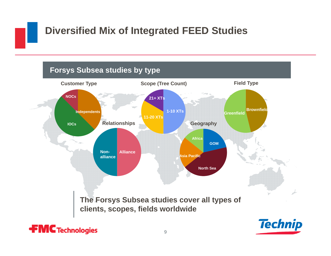# **Diversified Mix of Integrated FEED Studies**



9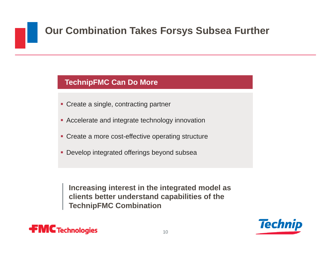# **Our Combination Takes Forsys Subsea Further**

### **TechnipFMC Can Do More**

- **Create a single, contracting partner**
- **Accelerate and integrate technology innovation**
- **Create a more cost-effective operating structure**
- **Develop integrated offerings beyond subsea**

**Increasing interest in the integrated model as clients better understand capabilities of the TechnipFMC Combination**



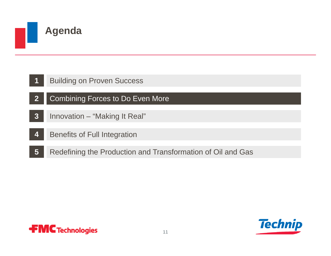

### **Agenda**

- **2**Combining Forces to Do Even More
- **3**Innovation – "Making It Real"
- **4**Benefits of Full Integration
- **5**Redefining the Production and Transformation of Oil and Gas



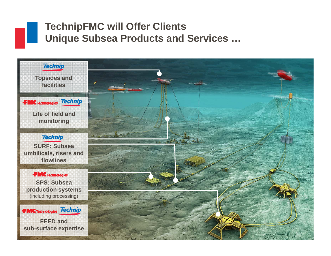## **TechnipFMC will Offer Clients Unique Subsea Products and Services …**

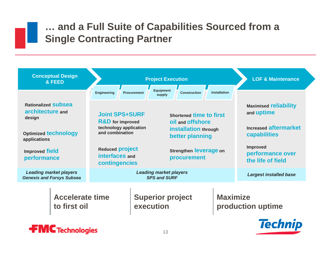## **… and a Full Suite of Capabilities Sourced from a Single Contracting Partner**

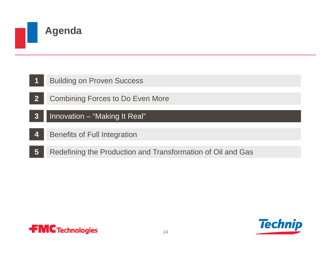

- **1**Building on Proven Success
- **2**Combining Forces to Do Even More
- **3**Innovation – "Making It Real"
- **4**Benefits of Full Integration
- **5**Redefining the Production and Transformation of Oil and Gas



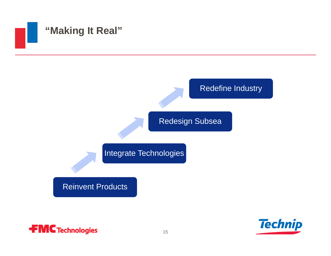



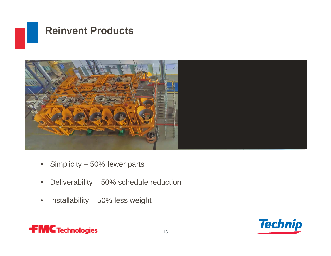



- $\bullet$ Simplicity – 50% fewer parts
- $\bullet$ Deliverability – 50% schedule reduction
- $\bullet$ Installability – 50% less weight



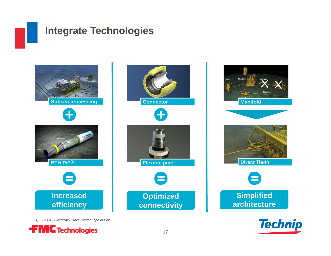## **Integrate Technologies**

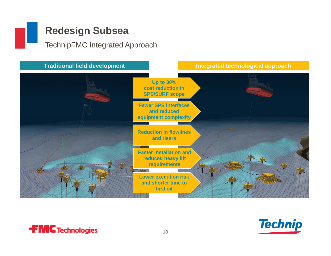## **Redesign Subsea**

**FMC** Technologies

TechnipFMC Integrated Approach





18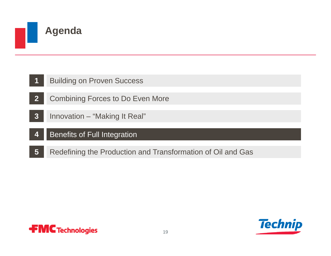

- **2**Combining Forces to Do Even More
- **3**Innovation – "Making It Real"
- **4**Benefits of Full Integration
- **5**Redefining the Production and Transformation of Oil and Gas



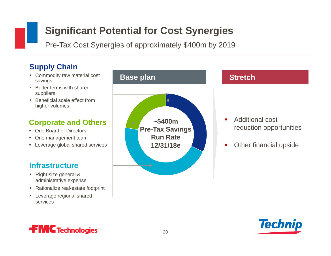## **Significant Potential for Cost Synergies**

Pre-Tax Cost Synergies of approximately \$400m by 2019

### **Supply Chain**

- Commodity raw material cost savings
- Better terms with shared suppliers
- Beneficial scale effect from higher volumes

### **Corporate and Others**

- One Board of Directors
- **One management team**
- Leverage global shared services

### **Infrastructure**

- Right-size general & administrative expense
- Rationalize real-estate footprint
- **Leverage regional shared** services





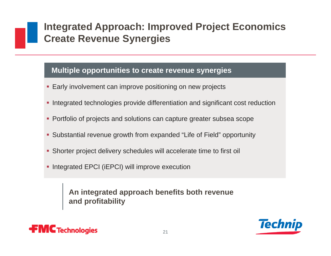## **Integrated Approach: Improved Project Economics Create Revenue Synergies**

#### **Multiple opportunities to create revenue synergies**

- **Early involvement can improve positioning on new projects**
- **Integrated technologies provide differentiation and significant cost reduction**
- **Portfolio of projects and solutions can capture greater subsea scope**
- Substantial revenue growth from expanded "Life of Field" opportunity
- Shorter project delivery schedules will accelerate time to first oil
- **Integrated EPCI (iEPCI) will improve execution**

**An integrated approach benefits both revenue and profitability**



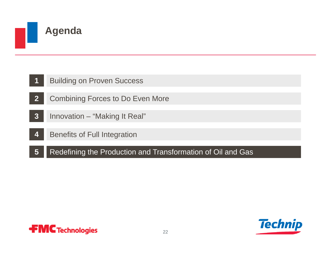

### **Agenda**

- **2**Combining Forces to Do Even More
- **3**Innovation – "Making It Real"
- **4**Benefits of Full Integration
- **5**Redefining the Production and Transformation of Oil and Gas